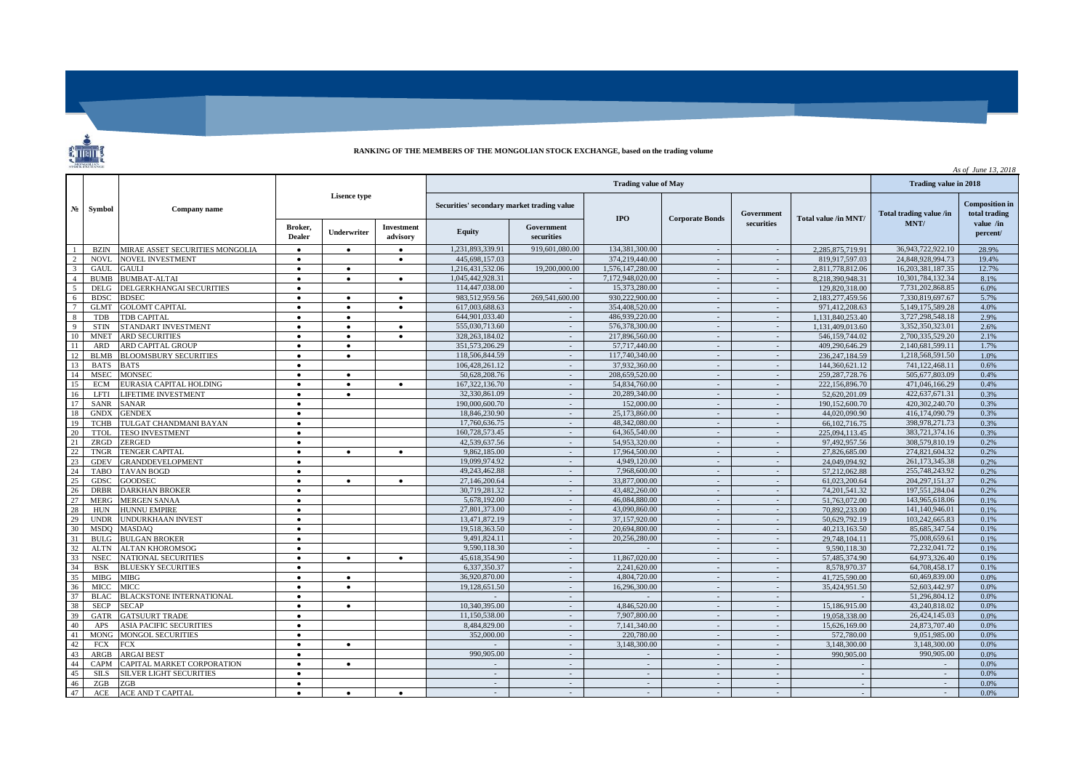## **RANKING OF THE MEMBERS OF THE MONGOLIAN STOCK EXCHANGE, based on the trading volume**

 $\overline{\phantom{a}}$ 

|                          |              |                                       |                          |             |                                            |                  |                          |                        |                  |                      | As of June 13, 2018     |                                        |                       |
|--------------------------|--------------|---------------------------------------|--------------------------|-------------|--------------------------------------------|------------------|--------------------------|------------------------|------------------|----------------------|-------------------------|----------------------------------------|-----------------------|
|                          | Symbol       | Company name                          |                          |             |                                            |                  | Trading value in 2018    |                        |                  |                      |                         |                                        |                       |
| N <sub>2</sub>           |              |                                       | <b>Lisence type</b>      |             | Securities' secondary market trading value |                  | <b>IPO</b>               | <b>Corporate Bonds</b> | Government       | Total value /in MNT/ | Total trading value /in | <b>Composition</b> in<br>total trading |                       |
|                          |              |                                       | Broker.<br><b>Dealer</b> | Underwriter | <b>Investment</b><br>advisory              | <b>Equity</b>    | Government<br>securities |                        |                  | securities           |                         | MNT/                                   | value /in<br>percent/ |
|                          | <b>BZIN</b>  | MIRAE ASSET SECURITIES MONGOLIA       | $\bullet$                | $\bullet$   | $\bullet$                                  | 1,231,893,339.91 | 919,601,080.00           | 134,381,300.00         | $\sim$           | $\sim$               | 2,285,875,719.91        | 36,943,722,922.10                      | 28.9%                 |
| $\overline{2}$           | <b>NOVL</b>  | <b>NOVEL INVESTMENT</b>               | $\bullet$                |             | ٠                                          | 445,698,157.03   |                          | 374.219.440.00         | $\sim$           |                      | 819,917,597.03          | 24,848,928,994.73                      | 19.4%                 |
| $\overline{\phantom{a}}$ | <b>GAUL</b>  | <b>GAULI</b>                          | $\bullet$                | $\bullet$   |                                            | 1,216,431,532.06 | 19,200,000,00            | 1,576,147,280.00       | $\sim$           | $\sim$               | 2,811,778,812.06        | 16,203,381,187.35                      | 12.7%                 |
| $\overline{4}$           | <b>BUMB</b>  | <b>BUMBAT-ALTAI</b>                   | $\bullet$                | $\bullet$   | $\bullet$                                  | 1.045.442.928.31 |                          | 7,172,948,020,00       | $\sim$           | $\sim$               | 8.218.390.948.31        | 10.301.784.132.34                      | 8.1%                  |
| $\overline{\phantom{a}}$ | <b>DELG</b>  | DELGERKHANGAI SECURITIES              | $\bullet$                |             |                                            | 114,447,038.00   |                          | 15.373.280.00          | $\sim$           | $\sim$               | 129,820,318.00          | 7.731.202.868.85                       | 6.0%                  |
| 6 <sup>6</sup>           | <b>BDSC</b>  | <b>BDSEC</b>                          | $\bullet$                | $\bullet$   | $\bullet$                                  | 983.512.959.56   | 269,541,600.00           | 930.222,900.00         | $\sim$           | $\omega$             | 2.183.277.459.56        | 7.330.819.697.67                       | 5.7%                  |
| $\overline{7}$           | <b>GLMT</b>  | <b>GOLOMT CAPITAL</b>                 | $\bullet$                | $\bullet$   | $\bullet$                                  | 617,003,688.63   | $\sim$                   | 354,408,520.00         | $\sim$           | $\sim$               | 971.412.208.63          | 5.149.175.589.28                       | 4.0%                  |
| -8                       | TDB          | <b>TDB CAPITAL</b>                    | $\bullet$                | $\bullet$   |                                            | 644,901,033.40   | $\sim$                   | 486,939,220.00         | $\sim$           | $\sim$               | 1,131,840,253.40        | 3,727,298,548.18                       | 2.9%                  |
| $\overline{9}$           | <b>STIN</b>  | STANDART INVESTMENT                   | $\bullet$                | $\bullet$   | ٠                                          | 555,030,713.60   | $\sim$                   | 576,378,300.00         | $\sim$           | $\sim$               | 1.131.409.013.60        | 3,352,350,323.01                       | 2.6%                  |
| 10                       | <b>MNET</b>  | <b>ARD SECURITIES</b>                 | $\bullet$                | $\bullet$   | $\bullet$                                  | 328,263,184.02   | $\sim$                   | 217,896,560.00         | $\sim$           | $\sim$               | 546.159.744.02          | 2,700,335,529.20                       | 2.1%                  |
| $\vert$ 11               | <b>ARD</b>   | ARD CAPITAL GROUP                     | $\bullet$                | $\bullet$   |                                            | 351,573,206.29   | $\sim$                   | 57,717,440.00          | $\sim$           | $\sim$               | 409.290.646.29          | 2.140.681.599.11                       | 1.7%                  |
| <sup>12</sup>            | <b>BLMB</b>  | <b>BLOOMSBURY SECURITIES</b>          | $\bullet$                | $\bullet$   |                                            | 118,506,844.59   | $\sim$                   | 117,740,340.00         | $\sim$           | $\sim$               | 236.247.184.59          | 1,218,568,591.50                       | 1.0%                  |
| 13                       | <b>BATS</b>  | <b>BATS</b>                           |                          |             |                                            | 106.428.261.12   |                          | 37,932,360,00          | $\sim$           |                      | 144,360,621.12          | 741.122.468.11                         | 0.6%                  |
| 14                       | <b>MSEC</b>  | <b>MONSEC</b>                         | $\bullet$                | $\bullet$   |                                            | 50.628.208.76    | $\sim$                   | 208,659,520.00         | $\sim$           | $\sim$               | 259, 287, 728, 76       | 505,677,803.09                         | 0.4%                  |
| 15                       | ECM          | EURASIA CAPITAL HOLDING               | $\bullet$                | $\bullet$   | $\bullet$                                  | 167.322.136.70   | $\sim$                   | 54,834,760.00          | $\sim$           | $\sim$               | 222,156,896.70          | 471,046,166.29                         | 0.4%                  |
| 16                       | <b>LFTI</b>  | <b>LIFETIME INVESTMENT</b>            | $\bullet$                | $\bullet$   |                                            | 32.330.861.09    | $\sim$                   | 20,289,340.00          | $\sim$           | $\sim$               | 52,620,201.09           | 422,637,671.31                         | 0.3%                  |
| 17                       | <b>SANR</b>  | <b>SANAR</b>                          | $\bullet$                |             |                                            | 190,000,600.70   | $\sim$                   | 152,000.00             | $\sim$           | $\equiv$             | 190,152,600.70          | 420,302,240.70                         | 0.3%                  |
| 18                       | <b>GNDX</b>  | <b>GENDEX</b>                         | $\bullet$                |             |                                            | 18,846,230.90    | $\sim$                   | 25,173,860.00          | $\sim$           | $\sim$               | 44.020.090.90           | 416,174,090.79                         | 0.3%                  |
| 19                       | <b>TCHB</b>  | TULGAT CHANDMANI BAYAN                | $\bullet$                |             |                                            | 17.760.636.75    | $\sim$                   | 48,342,080.00          | $\sim$           | $\sim$               | 66,102,716.75           | 398,978,271.73                         | 0.3%                  |
| 20                       | <b>TTOL</b>  | <b>TESO INVESTMENT</b>                | $\bullet$                |             |                                            | 160.728.573.45   | $\sim$                   | 64,365,540.00          | $\sim$           | $\sim$               | 225,094,113.45          | 383,721,374.16                         | 0.3%                  |
| 21                       | ZRGD         | <b>ZERGED</b>                         | $\bullet$                |             |                                            | 42.539.637.56    | $\sim$                   | 54,953,320.00          | $\sim$           | $\sim$               | 97.492.957.56           | 308,579,810.19                         | 0.2%                  |
| 22                       | <b>TNGR</b>  | <b>TENGER CAPITAL</b>                 | $\bullet$                | $\bullet$   | $\bullet$                                  | 9.862,185.00     | $\sim$                   | 17,964,500.00          | $\sim$           | $\sim$               | 27,826,685.00           | 274.821.604.32                         | 0.2%                  |
| 23                       | <b>GDEV</b>  | <b>GRANDDEVELOPMENT</b>               | $\bullet$                |             |                                            | 19.099.974.92    | $\sim$                   | 4.949.120.00           | $\sim$           | $\sim$               | 24.049.094.92           | 261.173.345.38                         | 0.2%                  |
| 24                       | <b>TABO</b>  | <b>TAVAN BOGD</b>                     | $\bullet$                |             |                                            | 49.243.462.88    | $\sim$                   | 7,968,600.00           | $\sim$           | $\bar{\phantom{a}}$  | 57.212.062.88           | 255,748,243.92                         | 0.2%                  |
| 25                       | <b>GDSC</b>  | <b>GOODSEC</b>                        | $\bullet$                | $\bullet$   | $\bullet$                                  | 27,146,200.64    | $\sim$                   | 33,877,000.00          | $\sim$           | $\sim$               | 61.023.200.64           | 204, 297, 151. 37                      | 0.2%                  |
| 26                       | <b>DRBR</b>  | <b>DARKHAN BROKER</b>                 | $\bullet$                |             |                                            | 30,719,281.32    | $\sim$                   | 43,482,260.00          | $\sim$           | $\sim$               | 74, 201, 541. 32        | 197,551,284.04                         | 0.2%                  |
| 27                       | <b>MERG</b>  | <b>MERGEN SANAA</b>                   | $\bullet$                |             |                                            | 5.678.192.00     | $\sim$                   | 46,084,880,00          | $\sim$           | $\sim$               | 51.763.072.00           | 143,965,618.06                         | 0.1%                  |
| 28                       | <b>HUN</b>   | <b>HUNNU EMPIRE</b>                   | $\bullet$                |             |                                            | 27,801,373.00    | $\sim$                   | 43,090,860.00          | $\sim$           | $\sim$               | 70,892,233.00           | 141,140,946.01                         | 0.1%                  |
| 29                       | <b>UNDR</b>  | <b>UNDURKHAAN INVEST</b>              | $\bullet$                |             |                                            | 13,471,872.19    | $\sim$                   | 37,157,920.00          | $\sim$           | $\sim$               | 50,629,792.19           | 103,242,665.83                         | 0.1%                  |
| 30                       | <b>MSDO</b>  | <b>MASDAO</b>                         | $\bullet$                |             |                                            | 19.518.363.50    | $\sim$                   | 20,694,800.00          | $\sim$           | $\sim$               | 40.213.163.50           | 85,685,347.54                          | 0.1%                  |
| 31                       | <b>BULG</b>  | <b>BULGAN BROKER</b>                  |                          |             |                                            | 9.491.824.11     | $\sim$                   | 20.256.280.00          | $\sim$           | $\omega$             | 29.748.104.11           | 75,008,659.61                          | 0.1%                  |
| 32                       | <b>ALTN</b>  | <b>ALTAN KHOROMSOG</b>                | $\bullet$                |             |                                            | 9.590.118.30     | $\sim$                   |                        | $\sim$           | $\sim$               | 9.590.118.30            | 72.232.041.72                          | 0.1%                  |
| 33                       | <b>NSEC</b>  | <b>NATIONAL SECURITIES</b>            | $\bullet$                | $\bullet$   | $\bullet$                                  | 45.618.354.90    | $\sim$                   | 11.867.020.00          | $\sim$           | $\sim$               | 57,485,374.90           | 64,973,326.40                          | 0.1%                  |
| 34                       | <b>BSK</b>   | <b>BLUESKY SECURITIES</b>             | $\bullet$                |             |                                            | 6.337.350.37     | $\sim$                   | 2,241,620.00           | $\sim$           | $\sim$               | 8,578,970.37            | 64,708,458.17                          | 0.1%                  |
| 35                       | <b>MIBG</b>  | MIBG                                  | $\bullet$                | $\bullet$   |                                            | 36,920,870.00    | $\sim$                   | 4,804,720.00           | $\sim$           | $\sim$               | 41,725,590.00           | 60,469,839.00                          | 0.0%                  |
| 36                       | <b>MICC</b>  | <b>MICC</b>                           | $\bullet$                | $\bullet$   |                                            | 19,128,651.50    | $\sim$                   | 16,296,300.00          | $\sim$           | $\sim$               | 35,424,951.50           | 52,603,442.97                          | 0.0%                  |
| 37                       | <b>BLAC</b>  | <b>BLACKSTONE INTERNATIONAL</b>       | $\bullet$                |             |                                            |                  | $\sim$                   |                        | $\sim$           | $\sim$               |                         | 51,296,804.12                          | 0.0%                  |
| 38                       | <b>SECP</b>  | <b>SECAP</b>                          | $\bullet$                | $\bullet$   |                                            | 10.340.395.00    | $\sim$                   | 4,846,520.00           | $\sim$           | $\sim$               | 15,186,915,00           | 43.240.818.02                          | 0.0%                  |
| 39                       | <b>GATR</b>  | <b>GATSUURT TRADE</b>                 | $\bullet$                |             |                                            | 11.150.538.00    | $\sim$                   | 7,907,800.00           | $\sim$           | $\sim$               | 19.058.338.00           | 26,424,145.03                          | 0.0%                  |
| 40                       | APS          | <b>ASIA PACIFIC SECURITIES</b>        | $\bullet$                |             |                                            | 8.484.829.00     | $\sim$                   | 7.141.340.00           | $\sim$           | $\sim$               | 15.626.169.00           | 24,873,707.40                          | 0.0%                  |
| 41                       | <b>MONG</b>  | <b>MONGOL SECURITIES</b>              | $\bullet$                |             |                                            | 352,000.00       | $\sim$                   | 220,780.00             | $\sim$           | $\sim$               | 572,780.00              | 9.051.985.00                           | 0.0%                  |
| 42                       | <b>FCX</b>   | <b>FCX</b>                            | $\bullet$                | $\bullet$   |                                            |                  | $\sim$                   | 3,148,300.00           | $\sim$           | $\sim$               | 3.148.300.00            | 3,148,300.00<br>990,905.00             | 0.0%                  |
| 43                       | $\rm{ARGB}$  | <b>ARGAI BEST</b>                     | $\bullet$                |             |                                            | 990,905.00       | $\sim$                   |                        | $\sim$<br>$\sim$ | $\sim$               | 990,905.00              |                                        | 0.0%                  |
| 44<br>45                 | CAPM<br>SILS | CAPITAL MARKET CORPORATION            | $\bullet$                | $\bullet$   |                                            |                  | $\sim$                   | $\sim$                 | $\sim$           | $\sim$               | $\sim$                  | $\sim$                                 | 0.0%<br>0.0%          |
| 46                       | ZGB          | <b>SILVER LIGHT SECURITIES</b><br>ZGB | $\bullet$<br>$\bullet$   |             |                                            | $\sim$           | $\sim$                   | $\sim$                 | $\sim$           | ÷.<br>$\sim$         | $\sim$<br>$\sim$        | $\sim$                                 | 0.0%                  |
| 47                       | ACE          | ACE AND T CAPITAL                     |                          | $\bullet$   |                                            |                  |                          |                        |                  | $\sim$               |                         |                                        | 0.0%                  |
|                          |              |                                       | $\bullet$                |             | $\bullet$                                  |                  |                          |                        |                  |                      |                         |                                        |                       |